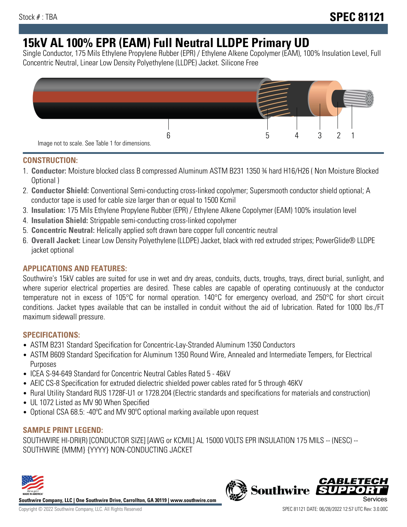# **15kV AL 100% EPR (EAM) Full Neutral LLDPE Primary UD**

Single Conductor, 175 Mils Ethylene Propylene Rubber (EPR) / Ethylene Alkene Copolymer (EAM), 100% Insulation Level, Full Concentric Neutral, Linear Low Density Polyethylene (LLDPE) Jacket. Silicone Free



#### **CONSTRUCTION:**

- 1. **Conductor:** Moisture blocked class B compressed Aluminum ASTM B231 1350 ¾ hard H16/H26 ( Non Moisture Blocked Optional )
- 2. **Conductor Shield:** Conventional Semi-conducting cross-linked copolymer; Supersmooth conductor shield optional; A conductor tape is used for cable size larger than or equal to 1500 Kcmil
- 3. **Insulation:** 175 Mils Ethylene Propylene Rubber (EPR) / Ethylene Alkene Copolymer (EAM) 100% insulation level
- 4. **Insulation Shield:** Strippable semi-conducting cross-linked copolymer
- 5. **Concentric Neutral:** Helically applied soft drawn bare copper full concentric neutral
- 6. **Overall Jacket:** Linear Low Density Polyethylene (LLDPE) Jacket, black with red extruded stripes; PowerGlide® LLDPE jacket optional

## **APPLICATIONS AND FEATURES:**

Southwire's 15kV cables are suited for use in wet and dry areas, conduits, ducts, troughs, trays, direct burial, sunlight, and where superior electrical properties are desired. These cables are capable of operating continuously at the conductor temperature not in excess of 105°C for normal operation. 140°C for emergency overload, and 250°C for short circuit conditions. Jacket types available that can be installed in conduit without the aid of lubrication. Rated for 1000 lbs./FT maximum sidewall pressure.

## **SPECIFICATIONS:**

- ASTM B231 Standard Specification for Concentric-Lay-Stranded Aluminum 1350 Conductors
- ASTM B609 Standard Specification for Aluminum 1350 Round Wire, Annealed and Intermediate Tempers, for Electrical Purposes
- ICEA S-94-649 Standard for Concentric Neutral Cables Rated 5 46kV
- AEIC CS-8 Specification for extruded dielectric shielded power cables rated for 5 through 46KV
- Rural Utility Standard RUS 1728F-U1 or 1728.204 (Electric standards and specifications for materials and construction)
- UL 1072 Listed as MV 90 When Specified
- Optional CSA 68.5: -40°C and MV 90°C optional marking available upon request

## **SAMPLE PRINT LEGEND:**

SOUTHWIRE HI-DRI(R) [CONDUCTOR SIZE] [AWG or KCMIL] AL 15000 VOLTS EPR INSULATION 175 MILS -- (NESC) -- SOUTHWIRE {MMM} {YYYY} NON-CONDUCTING JACKET



**Southwire Company, LLC | One Southwire Drive, Carrollton, GA 30119 | www.southwire.com**